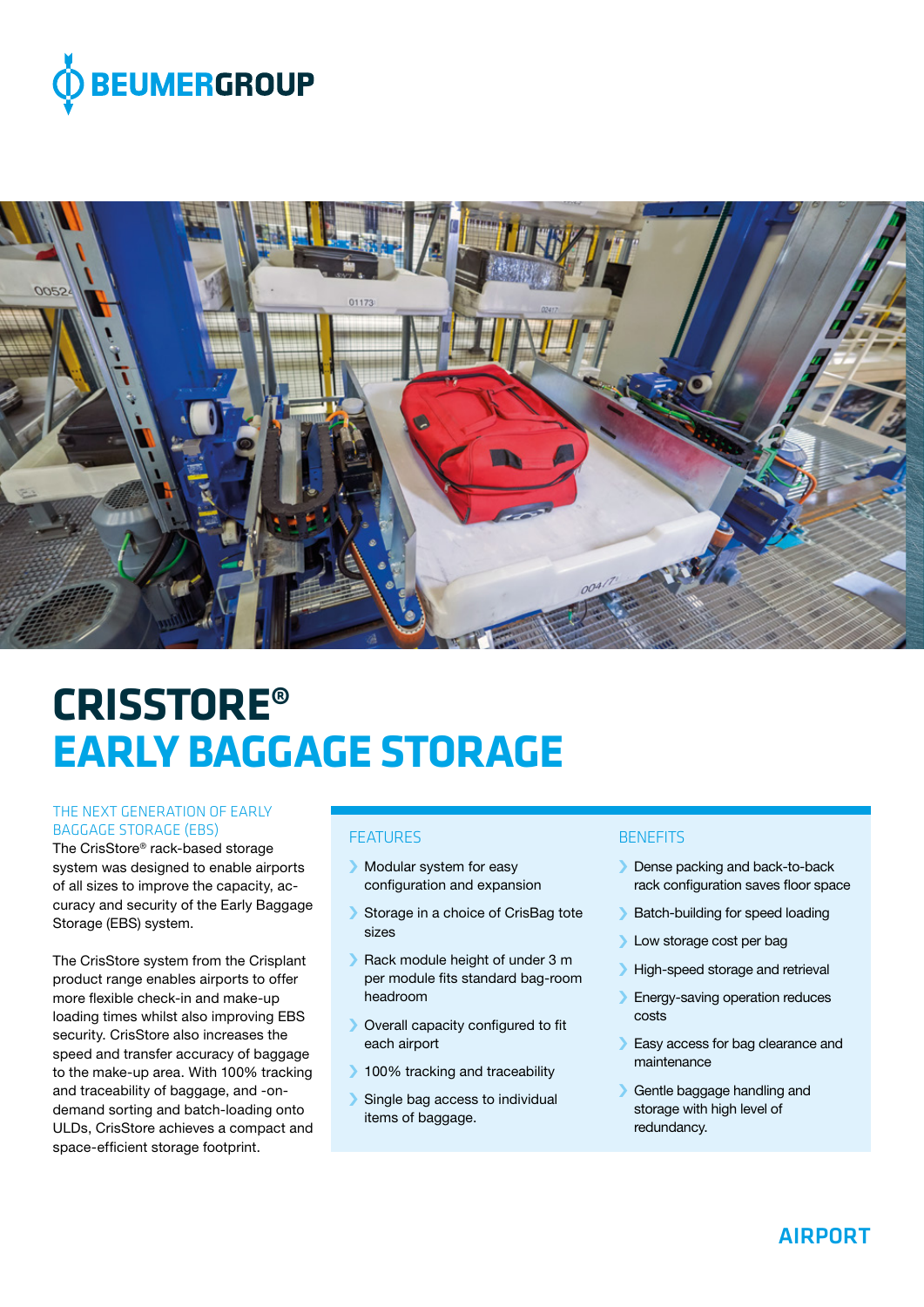



# **CRISSTORE® EARLY BAGGAGE STORAGE**

#### THE NEXT GENERATION OF EARLY BAGGAGE STORAGE (EBS)

The CrisStore® rack-based storage system was designed to enable airports of all sizes to improve the capacity, accuracy and security of the Early Baggage Storage (EBS) system.

The CrisStore system from the Crisplant product range enables airports to offer more flexible check-in and make-up loading times whilst also improving EBS security. CrisStore also increases the speed and transfer accuracy of baggage to the make-up area. With 100% tracking and traceability of baggage, and -ondemand sorting and batch-loading onto ULDs, CrisStore achieves a compact and space-efficient storage footprint.

## **FFATURES**

- › Modular system for easy configuration and expansion
- Storage in a choice of CrisBag tote sizes
- › Rack module height of under 3 m per module fits standard bag-room headroom
- › Overall capacity configured to fit each airport
- **100% tracking and traceability**
- › Single bag access to individual items of baggage.

## **BENEFITS**

- › Dense packing and back-to-back rack configuration saves floor space
- › Batch-building for speed loading
- › Low storage cost per bag
- › High-speed storage and retrieval
- › Energy-saving operation reduces costs
- › Easy access for bag clearance and maintenance
- › Gentle baggage handling and storage with high level of redundancy.